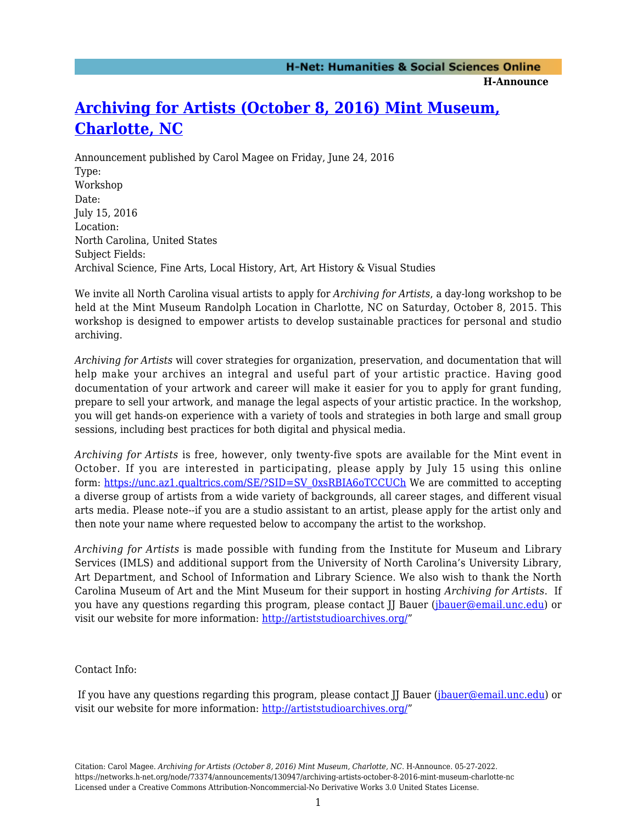**H-Announce** 

## **[Archiving for Artists \(October 8, 2016\) Mint Museum,](https://networks.h-net.org/node/73374/announcements/130947/archiving-artists-october-8-2016-mint-museum-charlotte-nc) [Charlotte, NC](https://networks.h-net.org/node/73374/announcements/130947/archiving-artists-october-8-2016-mint-museum-charlotte-nc)**

Announcement published by Carol Magee on Friday, June 24, 2016 Type: Workshop Date: July 15, 2016 Location: North Carolina, United States Subject Fields: Archival Science, Fine Arts, Local History, Art, Art History & Visual Studies

We invite all North Carolina visual artists to apply for *Archiving for Artists*, a day-long workshop to be held at the Mint Museum Randolph Location in Charlotte, NC on Saturday, October 8, 2015. This workshop is designed to empower artists to develop sustainable practices for personal and studio archiving.

*Archiving for Artists* will cover strategies for organization, preservation, and documentation that will help make your archives an integral and useful part of your artistic practice. Having good documentation of your artwork and career will make it easier for you to apply for grant funding, prepare to sell your artwork, and manage the legal aspects of your artistic practice. In the workshop, you will get hands-on experience with a variety of tools and strategies in both large and small group sessions, including best practices for both digital and physical media.

*Archiving for Artists* is free, however, only twenty-five spots are available for the Mint event in October. If you are interested in participating, please apply by July 15 using this online form: [https://unc.az1.qualtrics.com/SE/?SID=SV\\_0xsRBIA6oTCCUCh](https://unc.az1.qualtrics.com/SE/?SID=SV_0xsRBIA6oTCCUCh) We are committed to accepting a diverse group of artists from a wide variety of backgrounds, all career stages, and different visual arts media. Please note--if you are a studio assistant to an artist, please apply for the artist only and then note your name where requested below to accompany the artist to the workshop.

*Archiving for Artists* is made possible with funding from the Institute for Museum and Library Services (IMLS) and additional support from the University of North Carolina's University Library, Art Department, and School of Information and Library Science. We also wish to thank the North Carolina Museum of Art and the Mint Museum for their support in hosting *Archiving for Artists*. If you have any questions regarding this program, please contact II Bauer ([jbauer@email.unc.edu](mailto:jbauer@email.unc.edu)) or visit our website for more information: <http://artiststudioarchives.org/>"

## Contact Info:

If you have any questions regarding this program, please contact II Bauer ([jbauer@email.unc.edu\)](mailto:jbauer@email.unc.edu) or visit our website for more information: <http://artiststudioarchives.org/>"